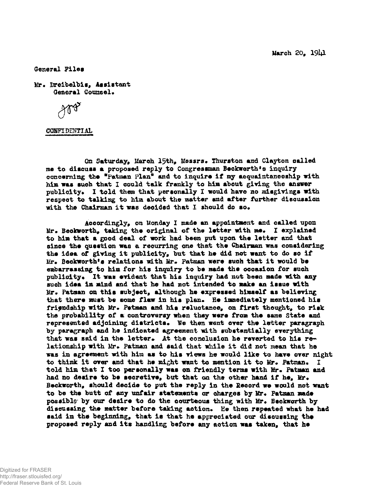Harch 20, I9I4I

General Files

Hr« Dreibelbia, Assistant General Counsel.

(XSBKDEHTIAL

On Saturday, March 15th, Messrs. Thurston and Clayton called me to discuss a proposed reply to Congressman Beckworth's inquiry concerning the "Fatman Plan" and to inquire if my acquaintanceship with him was such that I could talk frankly to him about giving the answer publicity. I told them that personally I would have no misgivings with respect to talking to him about the matter and after further discussion with the Chairman it was decided that I should do so.

Accordingly, on Monday X made an appointment and called upon Mr. Beokworth, taking the original of the letter with me. I explained to him that a good deal of work had been put upon the letter and that since the question was a recurring one that the Chairaan was considering the idea of giving it publicity, but that he did not want to do so if  $Mr.$  Beckworth<sup>\*</sup>s relations with  $Mr.$  Patman were such that it would be embarrassing to him for his inquiry to be made the occasion for such publicity. It was evident that his inquiry had not been made with any such idea in mind and that he had not intended to make an issue with Mr. Patman on this subject, although he expressed himself as believing that there must be some flaw in his plan. He immediately mentioned his friendship with Mr. Petman and his reluctance, on first thought, to risk the probability of a controversy when they were *from* the sane State and represented adjoining districts. We then went over the letter paragraph by paragraph and he indicated agreement with substantially everything that was said in the letter. At the conclusion he reverted to his relationship with Mr. Patman and said that while it did not mean that he was in agreement with him as to his views he would like to have over night to think it over and that he might want to mention it to Mr. Patman. told him that I too personally was on friendly terms with Mr. Patman and had no desire to be secretive, but that on the other hand if he. Mr. Beokworth, should decide to put the reply in the Secord we would not want to be the butt of any unfair statements or charges by Mr. Patman made possible by our desire to do the courteous thing with Mr. Beckworth by discussing the matter before taking action. He then repeated what he had said in the beginning, that is that he appreciated our discussing the proposed reply and its handling before any action was taken, that he